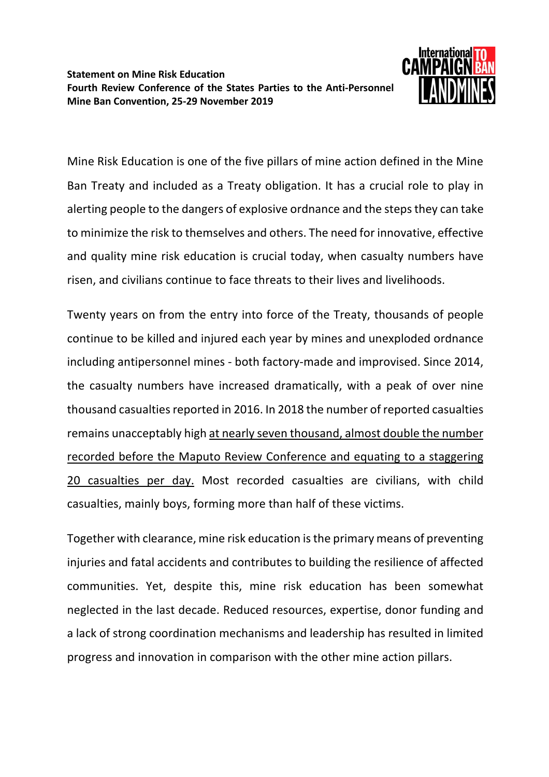

Mine Risk Education is one of the five pillars of mine action defined in the Mine Ban Treaty and included as a Treaty obligation. It has a crucial role to play in alerting people to the dangers of explosive ordnance and the steps they can take to minimize the risk to themselves and others. The need for innovative, effective and quality mine risk education is crucial today, when casualty numbers have risen, and civilians continue to face threats to their lives and livelihoods.

Twenty years on from the entry into force of the Treaty, thousands of people continue to be killed and injured each year by mines and unexploded ordnance including antipersonnel mines - both factory-made and improvised. Since 2014, the casualty numbers have increased dramatically, with a peak of over nine thousand casualties reported in 2016. In 2018 the number of reported casualties remains unacceptably high at nearly seven thousand, almost double the number recorded before the Maputo Review Conference and equating to a staggering 20 casualties per day. Most recorded casualties are civilians, with child casualties, mainly boys, forming more than half of these victims.

Together with clearance, mine risk education is the primary means of preventing injuries and fatal accidents and contributes to building the resilience of affected communities. Yet, despite this, mine risk education has been somewhat neglected in the last decade. Reduced resources, expertise, donor funding and a lack of strong coordination mechanisms and leadership has resulted in limited progress and innovation in comparison with the other mine action pillars.